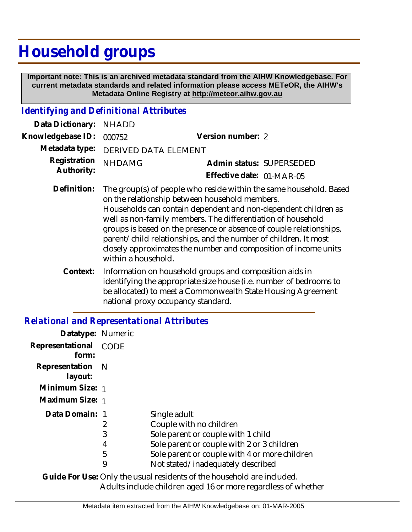## **Household groups**

 **Important note: This is an archived metadata standard from the AIHW Knowledgebase. For current metadata standards and related information please access METeOR, the AIHW's Metadata Online Registry at http://meteor.aihw.gov.au**

## *Identifying and Definitional Attributes*

| Data Dictionary: NHADD     |                                                                                                                      |                           |                          |
|----------------------------|----------------------------------------------------------------------------------------------------------------------|---------------------------|--------------------------|
| Knowledgebase ID: 000752   |                                                                                                                      | Version number: 2         |                          |
|                            | Metadata type: DERIVED DATA ELEMENT                                                                                  |                           |                          |
| Registration<br>Authority: | <b>NHDAMG</b>                                                                                                        |                           | Admin status: SUPERSEDED |
|                            |                                                                                                                      | Effective date: 01-MAR-05 |                          |
| Definition:                | The group(s) of people who reside within the same household. Based<br>on the relationship between household members. |                           |                          |

- Households can contain dependent and non-dependent children as well as non-family members. The differentiation of household groups is based on the presence or absence of couple relationships, parent/child relationships, and the number of children. It most closely approximates the number and composition of income units within a household.
- Information on household groups and composition aids in identifying the appropriate size house (i.e. number of bedrooms to be allocated) to meet a Commonwealth State Housing Agreement national proxy occupancy standard. **Context:**

## *Relational and Representational Attributes*

| Datatype: Numeric           |                       |                                                                                                                                                                                                                   |
|-----------------------------|-----------------------|-------------------------------------------------------------------------------------------------------------------------------------------------------------------------------------------------------------------|
| Representational<br>form:   | <b>CODE</b>           |                                                                                                                                                                                                                   |
| Representation N<br>layout: |                       |                                                                                                                                                                                                                   |
| Minimum Size: 1             |                       |                                                                                                                                                                                                                   |
| Maximum Size: 1             |                       |                                                                                                                                                                                                                   |
| Data Domain: 1              | 2<br>3<br>4<br>5<br>9 | Single adult<br>Couple with no children<br>Sole parent or couple with 1 child<br>Sole parent or couple with 2 or 3 children<br>Sole parent or couple with 4 or more children<br>Not stated/inadequately described |
|                             |                       | .                                                                                                                                                                                                                 |

Guide For Use: Only the usual residents of the household are included. Adults include children aged 16 or more regardless of whether